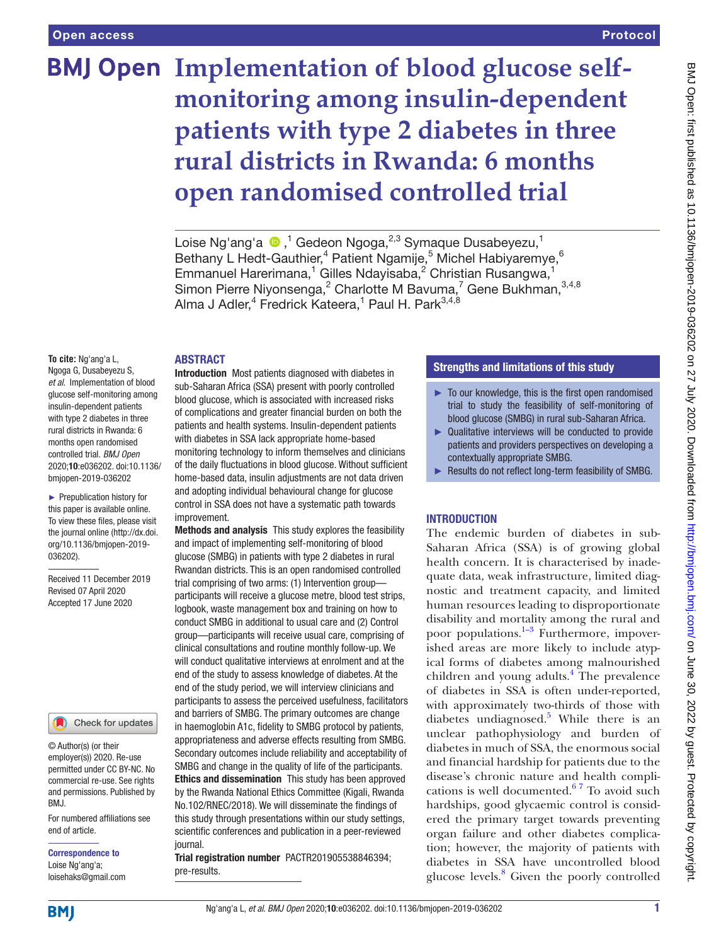# **BMJ Open Implementation of blood glucose selfmonitoring among insulin-dependent patients with type 2 diabetes in three rural districts in Rwanda: 6 months open randomised controlled trial**

Loise Ng'ang'a  $\bigcirc$ ,<sup>1</sup> Gedeon Ngoga,<sup>2,3</sup> Symaque Dusabeyezu,<sup>1</sup> Bethany L Hedt-Gauthier,<sup>4</sup> Patient Ngamije,<sup>5</sup> Michel Habiyaremye,<sup>6</sup> Emmanuel Harerimana,<sup>1</sup> Gilles Ndayisaba,<sup>2</sup> Christian Rusangwa,<sup>1</sup> Simon Pierre Niyonsenga,<sup>2</sup> Charlotte M Bavuma,<sup>7</sup> Gene Bukhman,  $3,4,8$ Alma J Adler,<sup>4</sup> Fredrick Kateera,<sup>1</sup> Paul H. Park<sup>3,4,8</sup>

#### ABSTRACT

**To cite:** Ng'ang'a L, Ngoga G, Dusabeyezu S, *et al*. Implementation of blood glucose self-monitoring among insulin-dependent patients with type 2 diabetes in three rural districts in Rwanda: 6 months open randomised controlled trial. *BMJ Open* 2020;10:e036202. doi:10.1136/ bmjopen-2019-036202

► Prepublication history for this paper is available online. To view these files, please visit the journal online (http://dx.doi. org/10.1136/bmjopen-2019- 036202).

Received 11 December 2019 Revised 07 April 2020 Accepted 17 June 2020



© Author(s) (or their employer(s)) 2020. Re-use permitted under CC BY-NC. No commercial re-use. See rights and permissions. Published by BMJ.

For numbered affiliations see end of article.

Correspondence to Loise Ng'ang'a; loisehaks@gmail.com

Introduction Most patients diagnosed with diabetes in sub-Saharan Africa (SSA) present with poorly controlled blood glucose, which is associated with increased risks of complications and greater financial burden on both the patients and health systems. Insulin-dependent patients with diabetes in SSA lack appropriate home-based monitoring technology to inform themselves and clinicians of the daily fluctuations in blood glucose. Without sufficient home-based data, insulin adjustments are not data driven and adopting individual behavioural change for glucose control in SSA does not have a systematic path towards improvement.

Methods and analysis This study explores the feasibility and impact of implementing self-monitoring of blood glucose (SMBG) in patients with type 2 diabetes in rural Rwandan districts. This is an open randomised controlled trial comprising of two arms: (1) Intervention group participants will receive a glucose metre, blood test strips, logbook, waste management box and training on how to conduct SMBG in additional to usual care and (2) Control group—participants will receive usual care, comprising of clinical consultations and routine monthly follow-up. We will conduct qualitative interviews at enrolment and at the end of the study to assess knowledge of diabetes. At the end of the study period, we will interview clinicians and participants to assess the perceived usefulness, facilitators and barriers of SMBG. The primary outcomes are change in haemoglobin A1c, fidelity to SMBG protocol by patients, appropriateness and adverse effects resulting from SMBG. Secondary outcomes include reliability and acceptability of SMBG and change in the quality of life of the participants. Ethics and dissemination This study has been approved by the Rwanda National Ethics Committee (Kigali, Rwanda No.102/RNEC/2018). We will disseminate the findings of this study through presentations within our study settings, scientific conferences and publication in a peer-reviewed journal.

Trial registration number PACTR201905538846394; pre-results.

# Strengths and limitations of this study

- $\blacktriangleright$  To our knowledge, this is the first open randomised trial to study the feasibility of self-monitoring of blood glucose (SMBG) in rural sub-Saharan Africa.
- ► Qualitative interviews will be conducted to provide patients and providers perspectives on developing a contextually appropriate SMBG.
- ► Results do not reflect long-term feasibility of SMBG.

# **INTRODUCTION**

The endemic burden of diabetes in sub-Saharan Africa (SSA) is of growing global health concern. It is characterised by inadequate data, weak infrastructure, limited diagnostic and treatment capacity, and limited human resources leading to disproportionate disability and mortality among the rural and poor populations. $1-3$  Furthermore, impoverished areas are more likely to include atypical forms of diabetes among malnourished children and young adults.<sup>[4](#page-4-1)</sup> The prevalence of diabetes in SSA is often under-reported, with approximately two-thirds of those with diabetes undiagnosed.<sup>[5](#page-4-2)</sup> While there is an unclear pathophysiology and burden of diabetes in much of SSA, the enormous social and financial hardship for patients due to the disease's chronic nature and health complications is well documented.<sup>67</sup> To avoid such hardships, good glycaemic control is considered the primary target towards preventing organ failure and other diabetes complication; however, the majority of patients with diabetes in SSA have uncontrolled blood glucose levels.<sup>[8](#page-4-4)</sup> Given the poorly controlled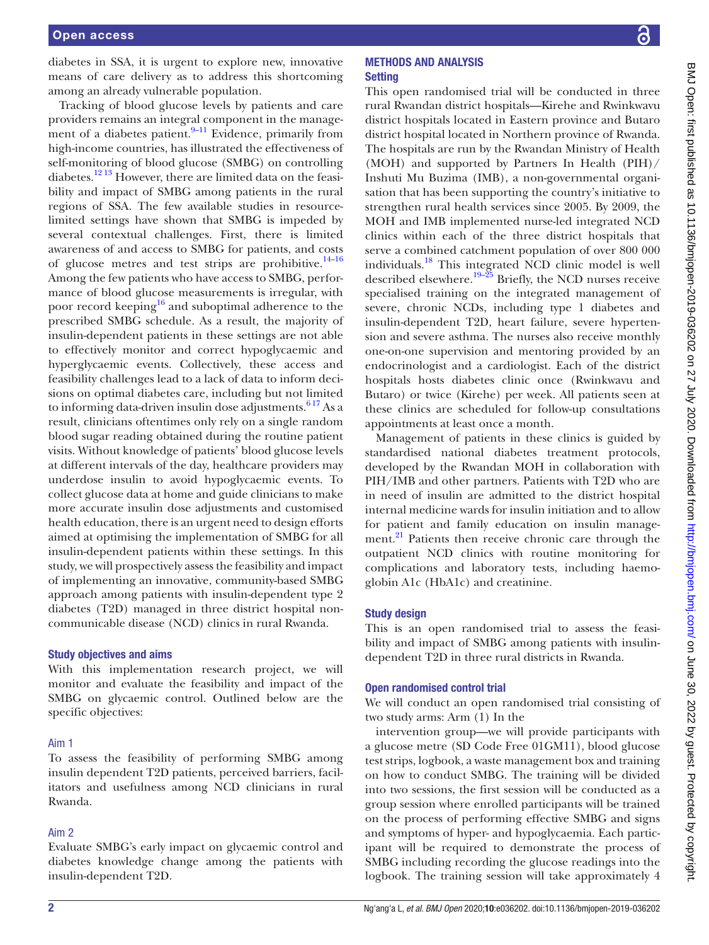diabetes in SSA, it is urgent to explore new, innovative means of care delivery as to address this shortcoming among an already vulnerable population.

Tracking of blood glucose levels by patients and care providers remains an integral component in the management of a diabetes patient. $9-11$  Evidence, primarily from high-income countries, has illustrated the effectiveness of self-monitoring of blood glucose (SMBG) on controlling diabetes.<sup>[12 13](#page-4-6)</sup> However, there are limited data on the feasibility and impact of SMBG among patients in the rural regions of SSA. The few available studies in resourcelimited settings have shown that SMBG is impeded by several contextual challenges. First, there is limited awareness of and access to SMBG for patients, and costs of glucose metres and test strips are prohibitive. $14-16$ Among the few patients who have access to SMBG, performance of blood glucose measurements is irregular, with poor record keeping $16$  and suboptimal adherence to the prescribed SMBG schedule. As a result, the majority of insulin-dependent patients in these settings are not able to effectively monitor and correct hypoglycaemic and hyperglycaemic events. Collectively, these access and feasibility challenges lead to a lack of data to inform decisions on optimal diabetes care, including but not limited to informing data-driven insulin dose adjustments.  $617$  As a result, clinicians oftentimes only rely on a single random blood sugar reading obtained during the routine patient visits. Without knowledge of patients' blood glucose levels at different intervals of the day, healthcare providers may underdose insulin to avoid hypoglycaemic events. To collect glucose data at home and guide clinicians to make more accurate insulin dose adjustments and customised health education, there is an urgent need to design efforts aimed at optimising the implementation of SMBG for all insulin-dependent patients within these settings. In this study, we will prospectively assess the feasibility and impact of implementing an innovative, community-based SMBG approach among patients with insulin-dependent type 2 diabetes (T2D) managed in three district hospital noncommunicable disease (NCD) clinics in rural Rwanda.

#### Study objectives and aims

With this implementation research project, we will monitor and evaluate the feasibility and impact of the SMBG on glycaemic control. Outlined below are the specific objectives:

#### Aim 1

To assess the feasibility of performing SMBG among insulin dependent T2D patients, perceived barriers, facilitators and usefulness among NCD clinicians in rural Rwanda.

#### Aim 2

Evaluate SMBG's early impact on glycaemic control and diabetes knowledge change among the patients with insulin-dependent T2D.

#### METHODS AND ANALYSIS **Setting**

This open randomised trial will be conducted in three rural Rwandan district hospitals—Kirehe and Rwinkwavu district hospitals located in Eastern province and Butaro district hospital located in Northern province of Rwanda. The hospitals are run by the Rwandan Ministry of Health (MOH) and supported by Partners In Health (PIH)/ Inshuti Mu Buzima (IMB), a non-governmental organisation that has been supporting the country's initiative to strengthen rural health services since 2005. By 2009, the MOH and IMB implemented nurse-led integrated NCD clinics within each of the three district hospitals that serve a combined catchment population of over 800 000 individuals.[18](#page-5-2) This integrated NCD clinic model is well described elsewhere.<sup>19–25</sup> Briefly, the NCD nurses receive specialised training on the integrated management of severe, chronic NCDs, including type 1 diabetes and insulin-dependent T2D, heart failure, severe hypertension and severe asthma. The nurses also receive monthly one-on-one supervision and mentoring provided by an endocrinologist and a cardiologist. Each of the district hospitals hosts diabetes clinic once (Rwinkwavu and Butaro) or twice (Kirehe) per week. All patients seen at these clinics are scheduled for follow-up consultations appointments at least once a month.

Management of patients in these clinics is guided by standardised national diabetes treatment protocols, developed by the Rwandan MOH in collaboration with PIH/IMB and other partners. Patients with T2D who are in need of insulin are admitted to the district hospital internal medicine wards for insulin initiation and to allow for patient and family education on insulin manage-ment.<sup>[21](#page-5-4)</sup> Patients then receive chronic care through the outpatient NCD clinics with routine monitoring for complications and laboratory tests, including haemoglobin A1c (HbA1c) and creatinine.

# Study design

This is an open randomised trial to assess the feasibility and impact of SMBG among patients with insulindependent T2D in three rural districts in Rwanda.

### Open randomised control trial

We will conduct an open randomised trial consisting of two study arms: Arm (1) In the

intervention group—we will provide participants with a glucose metre (SD Code Free 01GM11), blood glucose test strips, logbook, a waste management box and training on how to conduct SMBG. The training will be divided into two sessions, the first session will be conducted as a group session where enrolled participants will be trained on the process of performing effective SMBG and signs and symptoms of hyper- and hypoglycaemia. Each participant will be required to demonstrate the process of SMBG including recording the glucose readings into the logbook. The training session will take approximately 4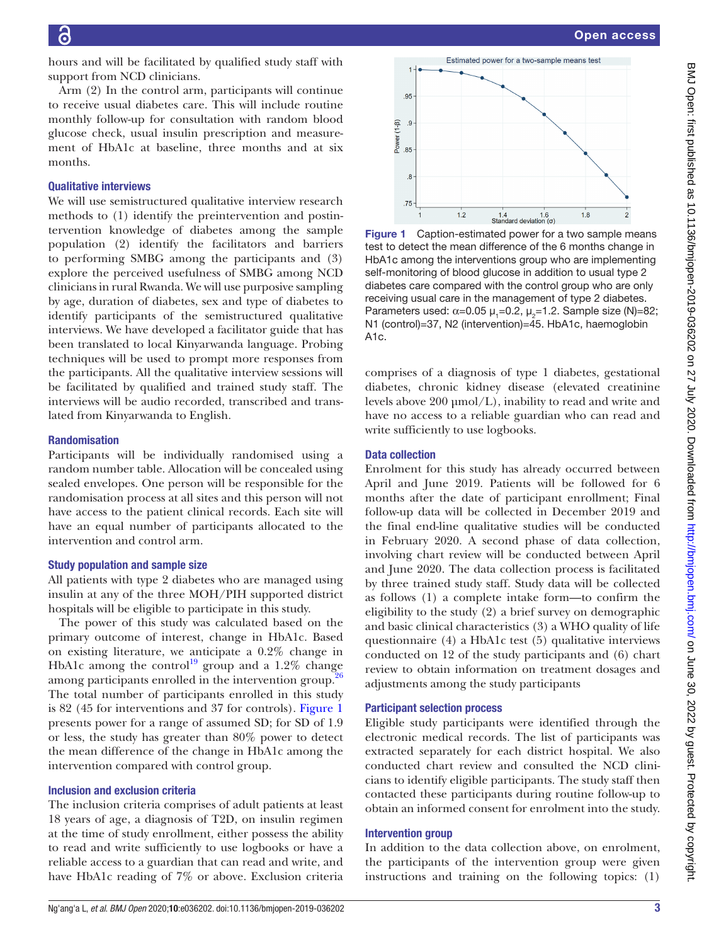hours and will be facilitated by qualified study staff with support from NCD clinicians. Arm (2) In the control arm, participants will continue 95 to receive usual diabetes care. This will include routine monthly follow-up for consultation with random blood Ĭ. Power (1-<sub>8)</sub> glucose check, usual insulin prescription and measurement of HbA1c at baseline, three months and at six  $85$ months. Š. Qualitative interviews We will use semistructured qualitative interview research .75 methods to (1) identify the preintervention and postintervention knowledge of diabetes among the sample population (2) identify the facilitators and barriers to performing SMBG among the participants and (3) explore the perceived usefulness of SMBG among NCD clinicians in rural Rwanda. We will use purposive sampling

by age, duration of diabetes, sex and type of diabetes to identify participants of the semistructured qualitative interviews. We have developed a facilitator guide that has been translated to local Kinyarwanda language. Probing techniques will be used to prompt more responses from the participants. All the qualitative interview sessions will be facilitated by qualified and trained study staff. The interviews will be audio recorded, transcribed and translated from Kinyarwanda to English.

# Randomisation

Participants will be individually randomised using a random number table. Allocation will be concealed using sealed envelopes. One person will be responsible for the randomisation process at all sites and this person will not have access to the patient clinical records. Each site will have an equal number of participants allocated to the intervention and control arm.

# Study population and sample size

All patients with type 2 diabetes who are managed using insulin at any of the three MOH/PIH supported district hospitals will be eligible to participate in this study.

The power of this study was calculated based on the primary outcome of interest, change in HbA1c. Based on existing literature, we anticipate a 0.2% change in HbA1c among the control<sup>19</sup> group and a 1.2% change among participants enrolled in the intervention group.<sup>2</sup> The total number of participants enrolled in this study is 82 (45 for interventions and 37 for controls). [Figure](#page-2-0) 1 presents power for a range of assumed SD; for SD of 1.9 or less, the study has greater than 80% power to detect the mean difference of the change in HbA1c among the intervention compared with control group.

# Inclusion and exclusion criteria

The inclusion criteria comprises of adult patients at least 18 years of age, a diagnosis of T2D, on insulin regimen at the time of study enrollment, either possess the ability to read and write sufficiently to use logbooks or have a reliable access to a guardian that can read and write, and have HbA1c reading of 7% or above. Exclusion criteria



<span id="page-2-0"></span>Figure 1 Caption-estimated power for a two sample means test to detect the mean difference of the 6 months change in HbA1c among the interventions group who are implementing self-monitoring of blood glucose in addition to usual type 2 diabetes care compared with the control group who are only receiving usual care in the management of type 2 diabetes. Parameters used:  $\alpha$ =0.05  $\mu$ <sub>1</sub>=0.2,  $\mu$ <sub>2</sub>=1.2. Sample size (N)=82; N1 (control)=37, N2 (intervention)=45. HbA1c, haemoglobin A1c.

comprises of a diagnosis of type 1 diabetes, gestational diabetes, chronic kidney disease (elevated creatinine levels above 200 µmol/L), inability to read and write and have no access to a reliable guardian who can read and write sufficiently to use logbooks.

# Data collection

Enrolment for this study has already occurred between April and June 2019. Patients will be followed for 6 months after the date of participant enrollment; Final follow-up data will be collected in December 2019 and the final end-line qualitative studies will be conducted in February 2020. A second phase of data collection, involving chart review will be conducted between April and June 2020. The data collection process is facilitated by three trained study staff. Study data will be collected as follows (1) a complete intake form—to confirm the eligibility to the study (2) a brief survey on demographic and basic clinical characteristics (3) a WHO quality of life questionnaire (4) a HbA1c test (5) qualitative interviews conducted on 12 of the study participants and (6) chart review to obtain information on treatment dosages and adjustments among the study participants

# Participant selection process

Eligible study participants were identified through the electronic medical records. The list of participants was extracted separately for each district hospital. We also conducted chart review and consulted the NCD clinicians to identify eligible participants. The study staff then contacted these participants during routine follow-up to obtain an informed consent for enrolment into the study.

# Intervention group

In addition to the data collection above, on enrolment, the participants of the intervention group were given instructions and training on the following topics: (1)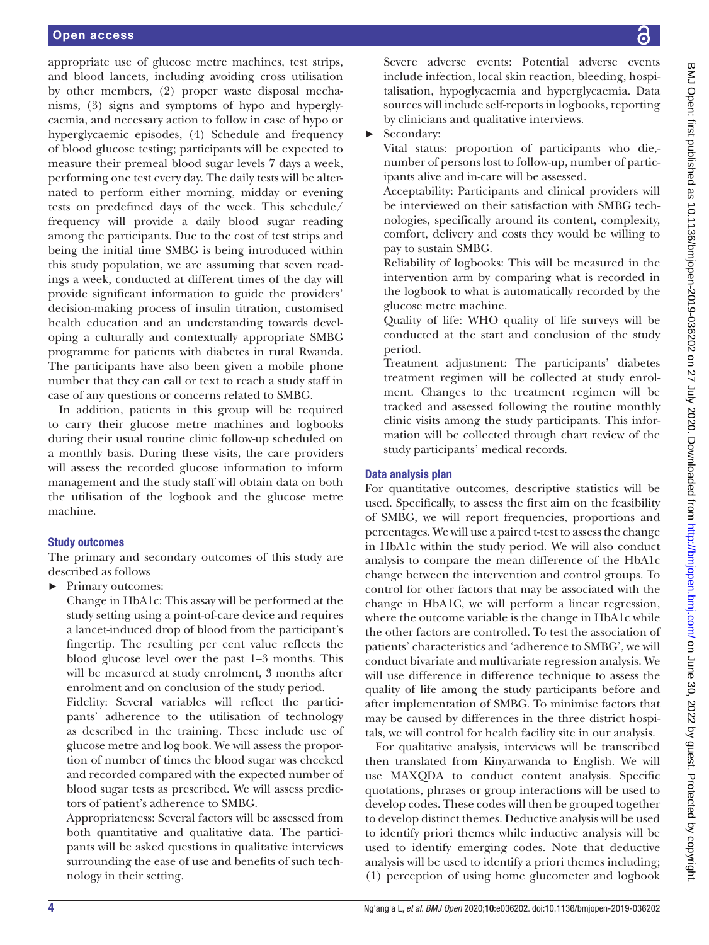appropriate use of glucose metre machines, test strips, and blood lancets, including avoiding cross utilisation by other members, (2) proper waste disposal mechanisms, (3) signs and symptoms of hypo and hyperglycaemia, and necessary action to follow in case of hypo or hyperglycaemic episodes, (4) Schedule and frequency of blood glucose testing; participants will be expected to measure their premeal blood sugar levels 7 days a week, performing one test every day. The daily tests will be alternated to perform either morning, midday or evening tests on predefined days of the week. This schedule/ frequency will provide a daily blood sugar reading among the participants. Due to the cost of test strips and being the initial time SMBG is being introduced within this study population, we are assuming that seven readings a week, conducted at different times of the day will provide significant information to guide the providers' decision-making process of insulin titration, customised health education and an understanding towards developing a culturally and contextually appropriate SMBG programme for patients with diabetes in rural Rwanda. The participants have also been given a mobile phone number that they can call or text to reach a study staff in case of any questions or concerns related to SMBG.

In addition, patients in this group will be required to carry their glucose metre machines and logbooks during their usual routine clinic follow-up scheduled on a monthly basis. During these visits, the care providers will assess the recorded glucose information to inform management and the study staff will obtain data on both the utilisation of the logbook and the glucose metre machine.

# Study outcomes

The primary and secondary outcomes of this study are described as follows

► Primary outcomes:

Change in HbA1c: This assay will be performed at the study setting using a point-of-care device and requires a lancet-induced drop of blood from the participant's fingertip. The resulting per cent value reflects the blood glucose level over the past 1–3 months. This will be measured at study enrolment, 3 months after enrolment and on conclusion of the study period.

Fidelity: Several variables will reflect the participants' adherence to the utilisation of technology as described in the training. These include use of glucose metre and log book. We will assess the proportion of number of times the blood sugar was checked and recorded compared with the expected number of blood sugar tests as prescribed. We will assess predictors of patient's adherence to SMBG.

Appropriateness: Several factors will be assessed from both quantitative and qualitative data. The participants will be asked questions in qualitative interviews surrounding the ease of use and benefits of such technology in their setting.

Severe adverse events: Potential adverse events include infection, local skin reaction, bleeding, hospitalisation, hypoglycaemia and hyperglycaemia. Data sources will include self-reports in logbooks, reporting by clinicians and qualitative interviews.

► Secondary:

Vital status: proportion of participants who die, number of persons lost to follow-up, number of participants alive and in-care will be assessed.

Acceptability: Participants and clinical providers will be interviewed on their satisfaction with SMBG technologies, specifically around its content, complexity, comfort, delivery and costs they would be willing to pay to sustain SMBG.

Reliability of logbooks: This will be measured in the intervention arm by comparing what is recorded in the logbook to what is automatically recorded by the glucose metre machine.

Quality of life: WHO quality of life surveys will be conducted at the start and conclusion of the study period.

Treatment adjustment: The participants' diabetes treatment regimen will be collected at study enrolment. Changes to the treatment regimen will be tracked and assessed following the routine monthly clinic visits among the study participants. This information will be collected through chart review of the study participants' medical records.

#### Data analysis plan

For quantitative outcomes, descriptive statistics will be used. Specifically, to assess the first aim on the feasibility of SMBG, we will report frequencies, proportions and percentages. We will use a paired t-test to assess the change in HbA1c within the study period. We will also conduct analysis to compare the mean difference of the HbA1c change between the intervention and control groups. To control for other factors that may be associated with the change in HbA1C, we will perform a linear regression, where the outcome variable is the change in HbA1c while the other factors are controlled. To test the association of patients' characteristics and 'adherence to SMBG', we will conduct bivariate and multivariate regression analysis. We will use difference in difference technique to assess the quality of life among the study participants before and after implementation of SMBG. To minimise factors that may be caused by differences in the three district hospitals, we will control for health facility site in our analysis.

For qualitative analysis, interviews will be transcribed then translated from Kinyarwanda to English. We will use MAXQDA to conduct content analysis. Specific quotations, phrases or group interactions will be used to develop codes. These codes will then be grouped together to develop distinct themes. Deductive analysis will be used to identify priori themes while inductive analysis will be used to identify emerging codes. Note that deductive analysis will be used to identify a priori themes including; (1) perception of using home glucometer and logbook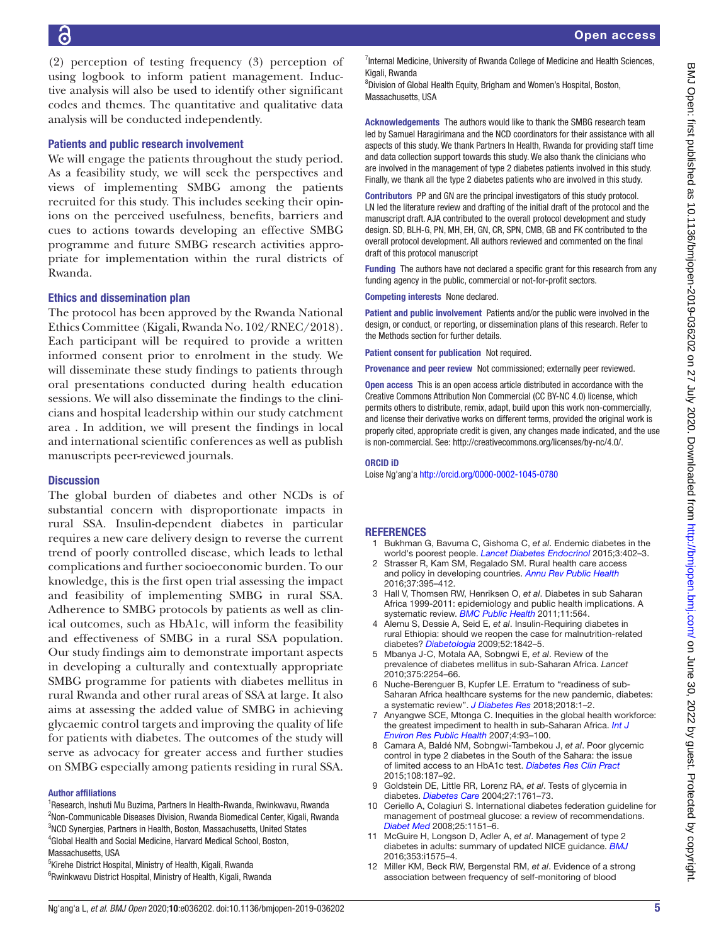(2) perception of testing frequency (3) perception of using logbook to inform patient management. Inductive analysis will also be used to identify other significant codes and themes. The quantitative and qualitative data analysis will be conducted independently.

# Patients and public research involvement

We will engage the patients throughout the study period. As a feasibility study, we will seek the perspectives and views of implementing SMBG among the patients recruited for this study. This includes seeking their opinions on the perceived usefulness, benefits, barriers and cues to actions towards developing an effective SMBG programme and future SMBG research activities appropriate for implementation within the rural districts of Rwanda.

# Ethics and dissemination plan

The protocol has been approved by the Rwanda National Ethics Committee (Kigali, Rwanda No. 102/RNEC/2018). Each participant will be required to provide a written informed consent prior to enrolment in the study. We will disseminate these study findings to patients through oral presentations conducted during health education sessions. We will also disseminate the findings to the clinicians and hospital leadership within our study catchment area . In addition, we will present the findings in local and international scientific conferences as well as publish manuscripts peer-reviewed journals.

# **Discussion**

The global burden of diabetes and other NCDs is of substantial concern with disproportionate impacts in rural SSA. Insulin-dependent diabetes in particular requires a new care delivery design to reverse the current trend of poorly controlled disease, which leads to lethal complications and further socioeconomic burden. To our knowledge, this is the first open trial assessing the impact and feasibility of implementing SMBG in rural SSA. Adherence to SMBG protocols by patients as well as clinical outcomes, such as HbA1c, will inform the feasibility and effectiveness of SMBG in a rural SSA population. Our study findings aim to demonstrate important aspects in developing a culturally and contextually appropriate SMBG programme for patients with diabetes mellitus in rural Rwanda and other rural areas of SSA at large. It also aims at assessing the added value of SMBG in achieving glycaemic control targets and improving the quality of life for patients with diabetes. The outcomes of the study will serve as advocacy for greater access and further studies on SMBG especially among patients residing in rural SSA.

#### Author affiliations

<sup>1</sup>Research, Inshuti Mu Buzima, Partners In Health-Rwanda, Rwinkwavu, Rwanda 2 Non-Communicable Diseases Division, Rwanda Biomedical Center, Kigali, Rwanda 3 NCD Synergies, Partners in Health, Boston, Massachusetts, United States 4 Global Health and Social Medicine, Harvard Medical School, Boston, Massachusetts, USA <sup>5</sup>Kirehe District Hospital, Ministry of Health, Kigali, Rwanda

6 Rwinkwavu District Hospital, Ministry of Health, Kigali, Rwanda

<sup>7</sup>Internal Medicine, University of Rwanda College of Medicine and Health Sciences, Kigali, Rwanda

8 Division of Global Health Equity, Brigham and Women's Hospital, Boston, Massachusetts, USA

Acknowledgements The authors would like to thank the SMBG research team led by Samuel Haragirimana and the NCD coordinators for their assistance with all aspects of this study. We thank Partners In Health, Rwanda for providing staff time and data collection support towards this study. We also thank the clinicians who are involved in the management of type 2 diabetes patients involved in this study. Finally, we thank all the type 2 diabetes patients who are involved in this study.

Contributors PP and GN are the principal investigators of this study protocol. LN led the literature review and drafting of the initial draft of the protocol and the manuscript draft. AJA contributed to the overall protocol development and study design. SD, BLH-G, PN, MH, EH, GN, CR, SPN, CMB, GB and FK contributed to the overall protocol development. All authors reviewed and commented on the final draft of this protocol manuscript

Funding The authors have not declared a specific grant for this research from any funding agency in the public, commercial or not-for-profit sectors.

Competing interests None declared.

Patient and public involvement Patients and/or the public were involved in the design, or conduct, or reporting, or dissemination plans of this research. Refer to the Methods section for further details.

Patient consent for publication Not required.

Provenance and peer review Not commissioned; externally peer reviewed.

Open access This is an open access article distributed in accordance with the Creative Commons Attribution Non Commercial (CC BY-NC 4.0) license, which permits others to distribute, remix, adapt, build upon this work non-commercially, and license their derivative works on different terms, provided the original work is properly cited, appropriate credit is given, any changes made indicated, and the use is non-commercial. See: [http://creativecommons.org/licenses/by-nc/4.0/.](http://creativecommons.org/licenses/by-nc/4.0/)

# ORCID iD

Loise Ng'ang'a <http://orcid.org/0000-0002-1045-0780>

# <span id="page-4-0"></span>REFERENCES

- 1 Bukhman G, Bavuma C, Gishoma C, *et al*. Endemic diabetes in the world's poorest people. *[Lancet Diabetes Endocrinol](http://dx.doi.org/10.1016/S2213-8587(15)00138-2)* 2015;3:402–3.
- 2 Strasser R, Kam SM, Regalado SM. Rural health care access and policy in developing countries. *[Annu Rev Public Health](http://dx.doi.org/10.1146/annurev-publhealth-032315-021507)* 2016;37:395–412.
- 3 Hall V, Thomsen RW, Henriksen O, *et al*. Diabetes in sub Saharan Africa 1999-2011: epidemiology and public health implications. A systematic review. *[BMC Public Health](http://dx.doi.org/10.1186/1471-2458-11-564)* 2011;11:564.
- <span id="page-4-1"></span>4 Alemu S, Dessie A, Seid E, *et al*. Insulin-Requiring diabetes in rural Ethiopia: should we reopen the case for malnutrition-related diabetes? *[Diabetologia](http://dx.doi.org/10.1007/s00125-009-1433-5)* 2009;52:1842–5.
- <span id="page-4-2"></span>5 Mbanya J-C, Motala AA, Sobngwi E, *et al*. Review of the prevalence of diabetes mellitus in sub-Saharan Africa. *Lancet* 2010;375:2254–66.
- <span id="page-4-3"></span>6 Nuche-Berenguer B, Kupfer LE. Erratum to "readiness of sub-Saharan Africa healthcare systems for the new pandemic, diabetes: a systematic review". *[J Diabetes Res](http://dx.doi.org/10.1155/2018/3419290)* 2018;2018:1–2.
- 7 Anyangwe SCE, Mtonga C. Inequities in the global health workforce: the greatest impediment to health in sub-Saharan Africa. *[Int J](http://dx.doi.org/10.3390/ijerph2007040002)  [Environ Res Public Health](http://dx.doi.org/10.3390/ijerph2007040002)* 2007;4:93–100.
- <span id="page-4-4"></span>8 Camara A, Baldé NM, Sobngwi-Tambekou J, *et al*. Poor glycemic control in type 2 diabetes in the South of the Sahara: the issue of limited access to an HbA1c test. *[Diabetes Res Clin Pract](http://dx.doi.org/10.1016/j.diabres.2014.08.025)* 2015;108:187–92.
- <span id="page-4-5"></span>9 Goldstein DE, Little RR, Lorenz RA, *et al*. Tests of glycemia in diabetes. *[Diabetes Care](http://dx.doi.org/10.2337/diacare.27.7.1761)* 2004;27:1761–73.
- 10 Ceriello A, Colagiuri S. International diabetes federation guideline for management of postmeal glucose: a review of recommendations. *[Diabet Med](http://dx.doi.org/10.1111/j.1464-5491.2008.02565.x)* 2008;25:1151–6.
- 11 McGuire H, Longson D, Adler A, *et al*. Management of type 2 diabetes in adults: summary of updated NICE guidance. *[BMJ](http://dx.doi.org/10.1136/bmj.i1575)* 2016;353:i1575–4.
- <span id="page-4-6"></span>12 Miller KM, Beck RW, Bergenstal RM, *et al*. Evidence of a strong association between frequency of self-monitoring of blood